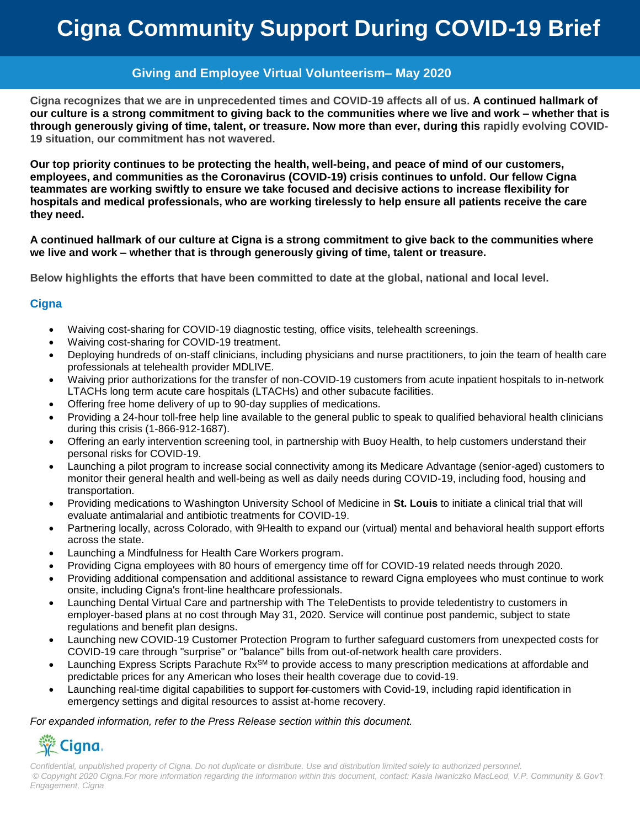# **Cigna Community Support During COVID-19 Brief**

# **Giving and Employee Virtual Volunteerism– May 2020**

**Cigna recognizes that we are in unprecedented times and COVID-19 affects all of us. A continued hallmark of our culture is a strong commitment to giving back to the communities where we live and work – whether that is through generously giving of time, talent, or treasure. Now more than ever, during this rapidly evolving COVID-19 situation, our commitment has not wavered.** 

**Our top priority continues to be protecting the health, well-being, and peace of mind of our customers, employees, and communities as the Coronavirus (COVID-19) crisis continues to unfold. Our fellow Cigna teammates are working swiftly to ensure we take focused and decisive actions to increase flexibility for hospitals and medical professionals, who are working tirelessly to help ensure all patients receive the care they need.** 

**A continued hallmark of our culture at Cigna is a strong commitment to give back to the communities where we live and work – whether that is through generously giving of time, talent or treasure.** 

**Below highlights the efforts that have been committed to date at the global, national and local level.**

#### **Cigna**

- Waiving cost-sharing for COVID-19 diagnostic testing, office visits, telehealth screenings.
- Waiving cost-sharing for COVID-19 treatment.
- Deploying hundreds of on-staff clinicians, including physicians and nurse practitioners, to join the team of health care professionals at telehealth provider MDLIVE.
- Waiving prior authorizations for the transfer of non-COVID-19 customers from acute inpatient hospitals to in-network LTACHs long term acute care hospitals (LTACHs) and other subacute facilities.
- Offering free home delivery of up to 90-day supplies of medications.
- Providing a 24-hour toll-free help line available to the general public to speak to qualified behavioral health clinicians during this crisis (1-866-912-1687).
- Offering an early intervention screening tool, in partnership with Buoy Health, to help customers understand their personal risks for COVID-19.
- Launching a pilot program to increase social connectivity among its Medicare Advantage (senior-aged) customers to monitor their general health and well-being as well as daily needs during COVID-19, including food, housing and transportation.
- Providing medications to Washington University School of Medicine in **St. Louis** to initiate a clinical trial that will evaluate antimalarial and antibiotic treatments for COVID-19.
- Partnering locally, across Colorado, with 9Health to expand our (virtual) mental and behavioral health support efforts across the state.
- Launching a Mindfulness for Health Care Workers program.
- Providing Cigna employees with 80 hours of emergency time off for COVID-19 related needs through 2020.
- Providing additional compensation and additional assistance to reward Cigna employees who must continue to work onsite, including Cigna's front-line healthcare professionals.
- Launching Dental Virtual Care and partnership with The TeleDentists to provide teledentistry to customers in employer-based plans at no cost through May 31, 2020. Service will continue post pandemic, subject to state regulations and benefit plan designs.
- Launching new COVID-19 Customer Protection Program to further safeguard customers from unexpected costs for COVID-19 care through "surprise" or "balance" bills from out-of-network health care providers.
- Launching Express Scripts Parachute Rx<sup>SM</sup> to provide access to many prescription medications at affordable and predictable prices for any American who loses their health coverage due to covid-19.
- Launching real-time digital capabilities to support for customers with Covid-19, including rapid identification in emergency settings and digital resources to assist at-home recovery.

#### *For expanded information, refer to the Press Release section within this document.*

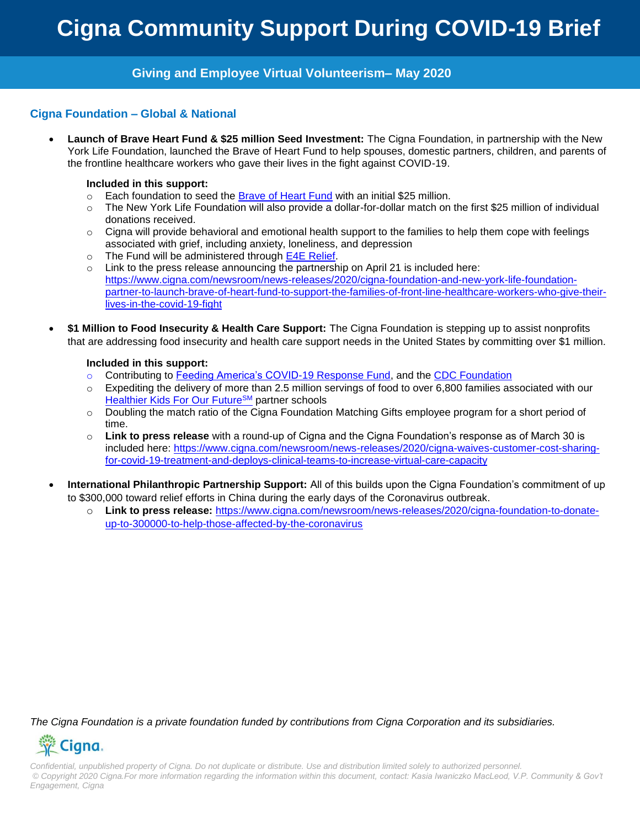#### **Cigna Foundation – Global & National**

 **Launch of Brave Heart Fund & \$25 million Seed Investment:** The Cigna Foundation, in partnership with the New York Life Foundation, launched the Brave of Heart Fund to help spouses, domestic partners, children, and parents of the frontline healthcare workers who gave their lives in the fight against COVID-19.

#### **Included in this support:**

- $\circ$  Each foundation to seed the [Brave of Heart Fund](https://www.braveofheartfund.com/) with an initial \$25 million.
- o The New York Life Foundation will also provide a dollar-for-dollar match on the first \$25 million of individual donations received.
- $\circ$  Cigna will provide behavioral and emotional health support to the families to help them cope with feelings associated with grief, including anxiety, loneliness, and depression
- o The Fund will be administered through [E4E Relief.](https://employeerelieffund.org/)
- $\circ$  Link to the press release announcing the partnership on April 21 is included here: [https://www.cigna.com/newsroom/news-releases/2020/cigna-foundation-and-new-york-life-foundation](https://www.cigna.com/newsroom/news-releases/2020/cigna-foundation-and-new-york-life-foundation-partner-to-launch-brave-of-heart-fund-to-support-the-families-of-front-line-healthcare-workers-who-give-their-lives-in-the-covid-19-fight)[partner-to-launch-brave-of-heart-fund-to-support-the-families-of-front-line-healthcare-workers-who-give-their](https://www.cigna.com/newsroom/news-releases/2020/cigna-foundation-and-new-york-life-foundation-partner-to-launch-brave-of-heart-fund-to-support-the-families-of-front-line-healthcare-workers-who-give-their-lives-in-the-covid-19-fight)[lives-in-the-covid-19-fight](https://www.cigna.com/newsroom/news-releases/2020/cigna-foundation-and-new-york-life-foundation-partner-to-launch-brave-of-heart-fund-to-support-the-families-of-front-line-healthcare-workers-who-give-their-lives-in-the-covid-19-fight)
- **\$1 Million to Food Insecurity & Health Care Support:** The Cigna Foundation is stepping up to assist nonprofits that are addressing food insecurity and health care support needs in the United States by committing over \$1 million.

#### **Included in this support:**

- o Contributing to [Feeding America's COVID-19 Response Fund,](https://www.feedingamerica.org/take-action/coronavirus) and the [CDC Foundation](https://give4cdcf.org/?utm_source=CDCF&utm_medium=web&utm_campaign=combat-coronavirus)
- $\circ$  Expediting the delivery of more than 2.5 million servings of food to over 6,800 families associated with our [Healthier Kids For Our Future](https://www.cigna.com/about-us/corporate-responsibility/healthier-kids-for-our-future/about)<sup>SM</sup> partner schools
- o Doubling the match ratio of the Cigna Foundation Matching Gifts employee program for a short period of time.
- o **Link to press release** with a round-up of Cigna and the Cigna Foundation's response as of March 30 is included here: [https://www.cigna.com/newsroom/news-releases/2020/cigna-waives-customer-cost-sharing](https://www.cigna.com/newsroom/news-releases/2020/cigna-waives-customer-cost-sharing-for-covid-19-treatment-and-deploys-clinical-teams-to-increase-virtual-care-capacity)[for-covid-19-treatment-and-deploys-clinical-teams-to-increase-virtual-care-capacity](https://www.cigna.com/newsroom/news-releases/2020/cigna-waives-customer-cost-sharing-for-covid-19-treatment-and-deploys-clinical-teams-to-increase-virtual-care-capacity)
- **International Philanthropic Partnership Support:** All of this builds upon the Cigna Foundation's commitment of up to \$300,000 toward relief efforts in China during the early days of the Coronavirus outbreak.
	- o **Link to press release:** [https://www.cigna.com/newsroom/news-releases/2020/cigna-foundation-to-donate](https://www.cigna.com/newsroom/news-releases/2020/cigna-foundation-to-donate-up-to-300000-to-help-those-affected-by-the-coronavirus)[up-to-300000-to-help-those-affected-by-the-coronavirus](https://www.cigna.com/newsroom/news-releases/2020/cigna-foundation-to-donate-up-to-300000-to-help-those-affected-by-the-coronavirus)

*The Cigna Foundation is a private foundation funded by contributions from Cigna Corporation and its subsidiaries.*

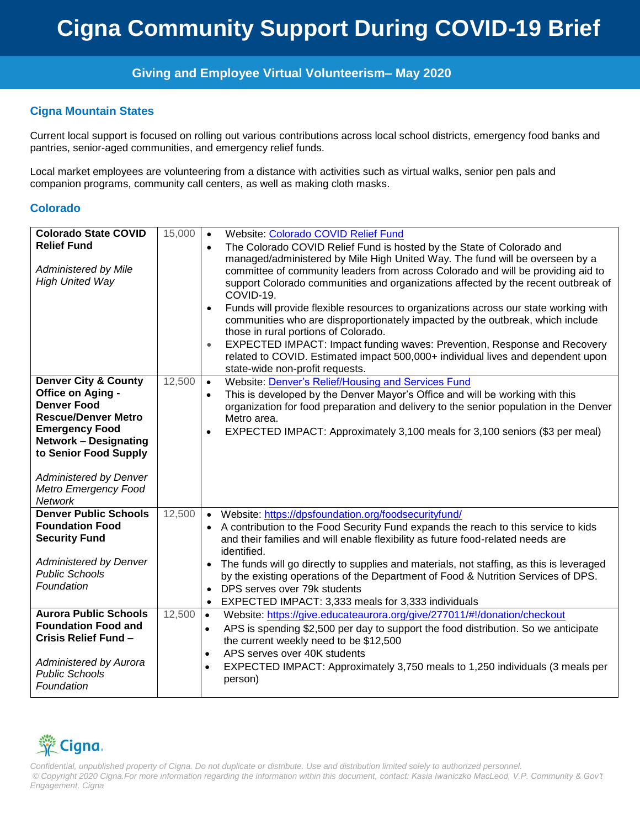#### **Cigna Mountain States**

Current local support is focused on rolling out various contributions across local school districts, emergency food banks and pantries, senior-aged communities, and emergency relief funds.

Local market employees are volunteering from a distance with activities such as virtual walks, senior pen pals and companion programs, community call centers, as well as making cloth masks.

#### **Colorado**

| <b>Colorado State COVID</b><br><b>Relief Fund</b><br><b>Administered by Mile</b><br><b>High United Way</b>                                                                                                                                                            | 15,000 | <b>Website: Colorado COVID Relief Fund</b><br>$\bullet$<br>The Colorado COVID Relief Fund is hosted by the State of Colorado and<br>$\bullet$<br>managed/administered by Mile High United Way. The fund will be overseen by a<br>committee of community leaders from across Colorado and will be providing aid to<br>support Colorado communities and organizations affected by the recent outbreak of<br>COVID-19.<br>Funds will provide flexible resources to organizations across our state working with<br>$\bullet$<br>communities who are disproportionately impacted by the outbreak, which include<br>those in rural portions of Colorado.<br>EXPECTED IMPACT: Impact funding waves: Prevention, Response and Recovery<br>$\bullet$<br>related to COVID. Estimated impact 500,000+ individual lives and dependent upon<br>state-wide non-profit requests. |
|-----------------------------------------------------------------------------------------------------------------------------------------------------------------------------------------------------------------------------------------------------------------------|--------|-------------------------------------------------------------------------------------------------------------------------------------------------------------------------------------------------------------------------------------------------------------------------------------------------------------------------------------------------------------------------------------------------------------------------------------------------------------------------------------------------------------------------------------------------------------------------------------------------------------------------------------------------------------------------------------------------------------------------------------------------------------------------------------------------------------------------------------------------------------------|
| <b>Denver City &amp; County</b><br>Office on Aging -<br><b>Denver Food</b><br><b>Rescue/Denver Metro</b><br><b>Emergency Food</b><br><b>Network - Designating</b><br>to Senior Food Supply<br><b>Administered by Denver</b><br>Metro Emergency Food<br><b>Network</b> | 12,500 | Website: Denver's Relief/Housing and Services Fund<br>$\bullet$<br>This is developed by the Denver Mayor's Office and will be working with this<br>$\bullet$<br>organization for food preparation and delivery to the senior population in the Denver<br>Metro area.<br>EXPECTED IMPACT: Approximately 3,100 meals for 3,100 seniors (\$3 per meal)<br>$\bullet$                                                                                                                                                                                                                                                                                                                                                                                                                                                                                                  |
| <b>Denver Public Schools</b><br><b>Foundation Food</b><br><b>Security Fund</b><br><b>Administered by Denver</b><br><b>Public Schools</b><br>Foundation                                                                                                                | 12,500 | Website: https://dpsfoundation.org/foodsecurityfund/<br>$\bullet$<br>A contribution to the Food Security Fund expands the reach to this service to kids<br>and their families and will enable flexibility as future food-related needs are<br>identified.<br>The funds will go directly to supplies and materials, not staffing, as this is leveraged<br>$\bullet$<br>by the existing operations of the Department of Food & Nutrition Services of DPS.<br>DPS serves over 79k students<br>EXPECTED IMPACT: 3,333 meals for 3,333 individuals<br>$\bullet$                                                                                                                                                                                                                                                                                                        |
| <b>Aurora Public Schools</b><br><b>Foundation Food and</b><br>Crisis Relief Fund -<br>Administered by Aurora<br><b>Public Schools</b><br>Foundation                                                                                                                   | 12,500 | Website: https://give.educateaurora.org/give/277011/#!/donation/checkout<br>$\bullet$<br>APS is spending \$2,500 per day to support the food distribution. So we anticipate<br>$\bullet$<br>the current weekly need to be \$12,500<br>APS serves over 40K students<br>$\bullet$<br>EXPECTED IMPACT: Approximately 3,750 meals to 1,250 individuals (3 meals per<br>$\bullet$<br>person)                                                                                                                                                                                                                                                                                                                                                                                                                                                                           |

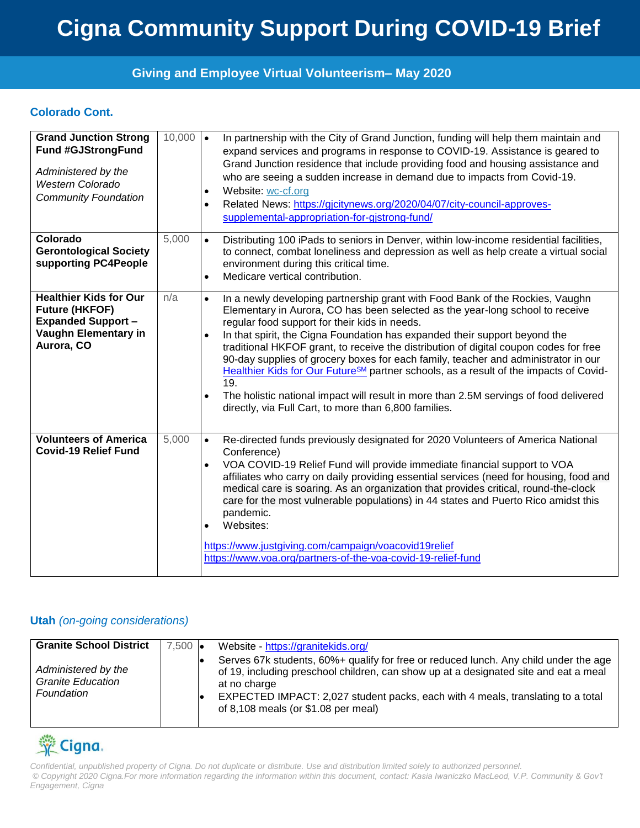### **Colorado Cont.**

| <b>Grand Junction Strong</b><br><b>Fund #GJStrongFund</b><br>Administered by the<br><b>Western Colorado</b><br><b>Community Foundation</b> | $10,000$ $\bullet$ | In partnership with the City of Grand Junction, funding will help them maintain and<br>expand services and programs in response to COVID-19. Assistance is geared to<br>Grand Junction residence that include providing food and housing assistance and<br>who are seeing a sudden increase in demand due to impacts from Covid-19.<br>Website: wc-cf.org<br>$\bullet$<br>Related News: https://gicitynews.org/2020/04/07/city-council-approves-<br>$\bullet$<br>supplemental-appropriation-for-gistrong-fund/                                                                                                                                                                                                                                                                    |
|--------------------------------------------------------------------------------------------------------------------------------------------|--------------------|-----------------------------------------------------------------------------------------------------------------------------------------------------------------------------------------------------------------------------------------------------------------------------------------------------------------------------------------------------------------------------------------------------------------------------------------------------------------------------------------------------------------------------------------------------------------------------------------------------------------------------------------------------------------------------------------------------------------------------------------------------------------------------------|
| Colorado<br><b>Gerontological Society</b><br>supporting PC4People                                                                          | 5,000              | Distributing 100 iPads to seniors in Denver, within low-income residential facilities,<br>$\bullet$<br>to connect, combat loneliness and depression as well as help create a virtual social<br>environment during this critical time.<br>Medicare vertical contribution.<br>$\bullet$                                                                                                                                                                                                                                                                                                                                                                                                                                                                                             |
| <b>Healthier Kids for Our</b><br><b>Future (HKFOF)</b><br><b>Expanded Support -</b><br>Vaughn Elementary in<br>Aurora, CO                  | n/a                | In a newly developing partnership grant with Food Bank of the Rockies, Vaughn<br>$\bullet$<br>Elementary in Aurora, CO has been selected as the year-long school to receive<br>regular food support for their kids in needs.<br>In that spirit, the Cigna Foundation has expanded their support beyond the<br>$\bullet$<br>traditional HKFOF grant, to receive the distribution of digital coupon codes for free<br>90-day supplies of grocery boxes for each family, teacher and administrator in our<br>Healthier Kids for Our Future <sup>SM</sup> partner schools, as a result of the impacts of Covid-<br>19.<br>The holistic national impact will result in more than 2.5M servings of food delivered<br>$\bullet$<br>directly, via Full Cart, to more than 6,800 families. |
| <b>Volunteers of America</b><br><b>Covid-19 Relief Fund</b>                                                                                | 5,000              | Re-directed funds previously designated for 2020 Volunteers of America National<br>$\bullet$<br>Conference)<br>VOA COVID-19 Relief Fund will provide immediate financial support to VOA<br>$\bullet$<br>affiliates who carry on daily providing essential services (need for housing, food and<br>medical care is soaring. As an organization that provides critical, round-the-clock<br>care for the most vulnerable populations) in 44 states and Puerto Rico amidst this<br>pandemic.<br>Websites:<br>$\bullet$<br>https://www.justgiving.com/campaign/voacovid19relief<br>https://www.voa.org/partners-of-the-voa-covid-19-relief-fund                                                                                                                                        |

#### **Utah** *(on-going considerations)*

| <b>Granite School District</b><br>Administered by the<br><b>Granite Education</b><br>Foundation | $7,500$ $\bullet$ | Website - https://granitekids.org/<br>Serves 67k students, 60%+ qualify for free or reduced lunch. Any child under the age<br>of 19, including preschool children, can show up at a designated site and eat a meal<br>at no charge<br>EXPECTED IMPACT: 2,027 student packs, each with 4 meals, translating to a total<br>of 8,108 meals (or $$1.08$ per meal) |
|-------------------------------------------------------------------------------------------------|-------------------|---------------------------------------------------------------------------------------------------------------------------------------------------------------------------------------------------------------------------------------------------------------------------------------------------------------------------------------------------------------|
|-------------------------------------------------------------------------------------------------|-------------------|---------------------------------------------------------------------------------------------------------------------------------------------------------------------------------------------------------------------------------------------------------------------------------------------------------------------------------------------------------------|

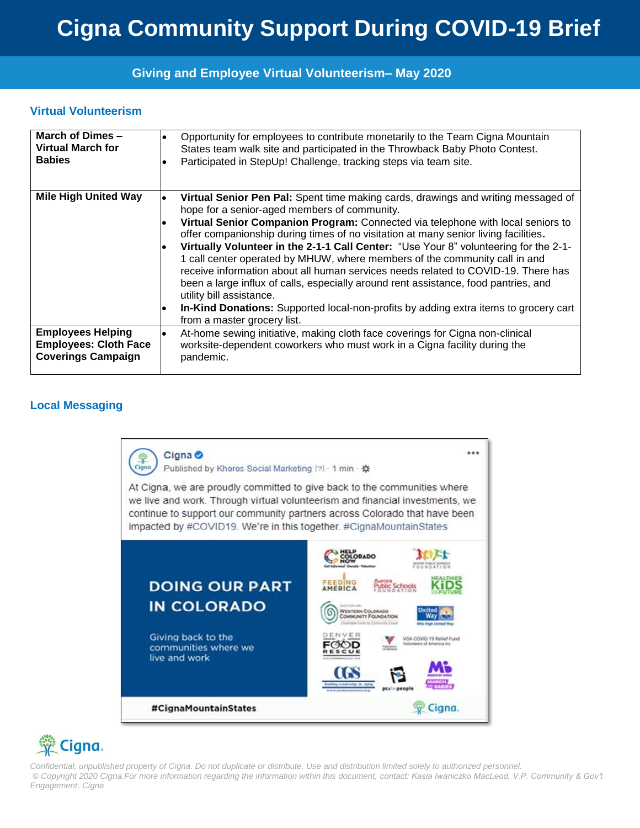#### **Virtual Volunteerism**

| March of Dimes-              | Opportunity for employees to contribute monetarily to the Team Cigna Mountain                                                                                                                                                                                                                                                                                                                                                                                                                                                                                                                                                                                                                                                                                                                                                 |
|------------------------------|-------------------------------------------------------------------------------------------------------------------------------------------------------------------------------------------------------------------------------------------------------------------------------------------------------------------------------------------------------------------------------------------------------------------------------------------------------------------------------------------------------------------------------------------------------------------------------------------------------------------------------------------------------------------------------------------------------------------------------------------------------------------------------------------------------------------------------|
| <b>Virtual March for</b>     | States team walk site and participated in the Throwback Baby Photo Contest.                                                                                                                                                                                                                                                                                                                                                                                                                                                                                                                                                                                                                                                                                                                                                   |
| <b>Babies</b>                | Participated in StepUp! Challenge, tracking steps via team site.                                                                                                                                                                                                                                                                                                                                                                                                                                                                                                                                                                                                                                                                                                                                                              |
| <b>Mile High United Way</b>  | Virtual Senior Pen Pal: Spent time making cards, drawings and writing messaged of<br>l.<br>hope for a senior-aged members of community.<br>Virtual Senior Companion Program: Connected via telephone with local seniors to<br>offer companionship during times of no visitation at many senior living facilities.<br>Virtually Volunteer in the 2-1-1 Call Center: "Use Your 8" volunteering for the 2-1-<br>1 call center operated by MHUW, where members of the community call in and<br>receive information about all human services needs related to COVID-19. There has<br>been a large influx of calls, especially around rent assistance, food pantries, and<br>utility bill assistance.<br><b>In-Kind Donations:</b> Supported local-non-profits by adding extra items to grocery cart<br>from a master grocery list. |
| <b>Employees Helping</b>     | At-home sewing initiative, making cloth face coverings for Cigna non-clinical                                                                                                                                                                                                                                                                                                                                                                                                                                                                                                                                                                                                                                                                                                                                                 |
| <b>Employees: Cloth Face</b> | worksite-dependent coworkers who must work in a Cigna facility during the                                                                                                                                                                                                                                                                                                                                                                                                                                                                                                                                                                                                                                                                                                                                                     |
| <b>Coverings Campaign</b>    | pandemic.                                                                                                                                                                                                                                                                                                                                                                                                                                                                                                                                                                                                                                                                                                                                                                                                                     |

#### **Local Messaging**



# Cigna.